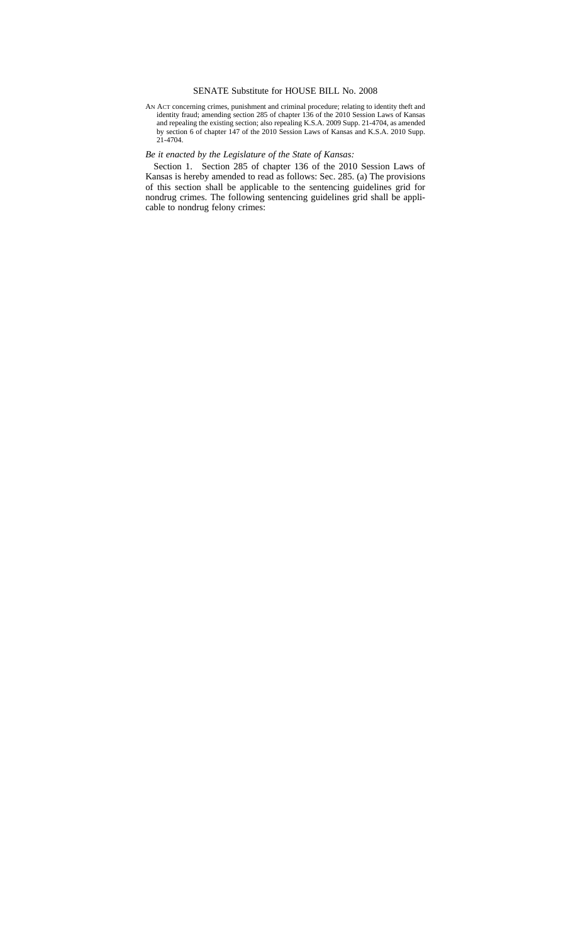## SENATE Substitute for HOUSE BILL No. 2008

AN ACT concerning crimes, punishment and criminal procedure; relating to identity theft and identity fraud; amending section 285 of chapter 136 of the 2010 Session Laws of Kansas and repealing the existing section; also repealing K.S.A. 2009 Supp. 21-4704, as amended by section 6 of chapter 147 of the 2010 Session Laws of Kansas and K.S.A. 2010 Supp. 21-4704.

## *Be it enacted by the Legislature of the State of Kansas:*

Section 1. Section 285 of chapter 136 of the 2010 Session Laws of Kansas is hereby amended to read as follows: Sec. 285. (a) The provisions of this section shall be applicable to the sentencing guidelines grid for nondrug crimes. The following sentencing guidelines grid shall be applicable to nondrug felony crimes: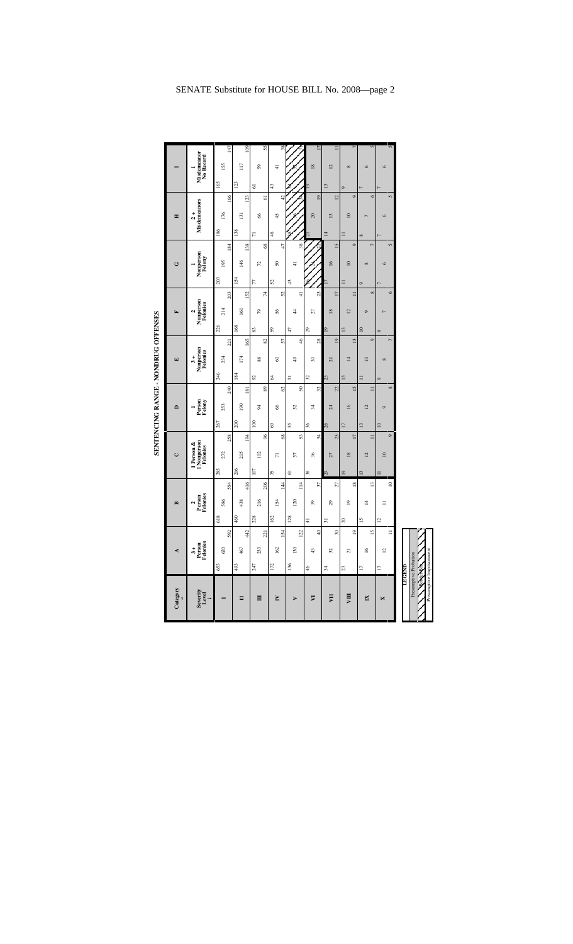| Category          | Ą                                                         |                            |                | $\mathbf{r}$                    |                | $\cup$                                |                  | $\overline{\phantom{0}}$ |                  |          | $\boxed{\mathbf{r}}$                                                                         |                                   | 国                          |               |          | ن                   |                                 | Ξ                             |                 |                |                          |          |
|-------------------|-----------------------------------------------------------|----------------------------|----------------|---------------------------------|----------------|---------------------------------------|------------------|--------------------------|------------------|----------|----------------------------------------------------------------------------------------------|-----------------------------------|----------------------------|---------------|----------|---------------------|---------------------------------|-------------------------------|-----------------|----------------|--------------------------|----------|
| Severity<br>Level | $3 +$<br>Person<br>Felonies                               |                            |                | 2<br>Person<br>Felonies         |                | 1 Person &<br>1 Nonperson<br>Felonies |                  | Person<br>Felony         |                  |          | $\begin{array}{c} 3+ \\ \textbf{N} \text{onperson} \\ \textbf{F} \text{elonies} \end{array}$ |                                   | Nonperson<br>Felonies<br>Ν |               |          | Nonperson<br>Felony |                                 | Misdemeanors<br>$\frac{1}{2}$ |                 |                | Misdemeanor<br>No Record |          |
|                   | 620<br>653                                                | 592                        | 618            | 554<br>586                      | 285            | 258<br>272                            | 267              | 253                      | 240              | 246      | 221<br>234                                                                                   | 226                               | 214                        | 203           | 203      | 195                 | 186<br>184                      | 176                           | 166             | 165            | 155                      | 147      |
| Π                 | 467<br>493                                                | 442                        | 460            | 416<br>438                      | 216            | 194<br>205                            | 200              | <b>P61</b>               | $\overline{181}$ | 184      | 165<br>174                                                                                   | 168                               | 160                        | 152           | 154      | 146                 | 138<br>138                      | $\Xi$                         | 123             | 123            | $\overline{117}$         | 109      |
| Ħ                 | 233<br>247                                                | 221                        | 228            | 206<br>216                      | 107            | 96<br>102                             | $\overline{100}$ | ¥,                       | 89               | 92       | 29<br>88                                                                                     | 83                                | 79                         | $\sharp$      | 77       | 72                  | $\overline{r}$<br>$\frac{8}{2}$ | 8                             | 5               | $\overline{6}$ | 59                       | 55       |
| È                 | 162<br>172                                                | 154                        | 162            | $\overline{4}$<br>154           | 75             | $\frac{8}{5}$<br>$\overline{r}$       | 3                | 8                        | $\mathcal{O}$    | 2        | 57<br>8                                                                                      | $\sqrt{2}$                        | 56                         | 52            | 25       | $50\,$              | 48<br>47                        | 45                            | $\overline{42}$ | 43             | $\pm$                    | 38       |
| Þ                 | 130<br>136                                                | 122                        | 128            | $\overline{1}$<br>20            | 3              | 53<br>57                              | 55               | 25                       | 50               | 51       | $\frac{6}{5}$<br>$\frac{49}{5}$                                                              | 47                                | $\frac{4}{4}$              | $\frac{4}{3}$ | 43       | $\frac{1}{4}$       | 38                              |                               |                 |                |                          |          |
| VI                | 43<br>46                                                  | $\overline{a}$             | $\frac{4}{3}$  | 37<br>$\overline{3}$            | 38             | $\frac{4}{3}$<br>36                   | 36               | $\frac{4}{3}$            | 32               | 32       | $\approx$                                                                                    | $\mathfrak{S}$<br>$^{28}$         | 27                         | 25            |          |                     |                                 | $\Omega$                      | $\overline{9}$  | Σ              | $\overline{18}$          | 17       |
| hП                | 32<br>34                                                  | $\boldsymbol{\mathcal{S}}$ | $\Xi$          | 27<br>$_{29}$                   | 67             | 25<br>27                              | $0\overline{z}$  | $\overline{z}$           | 22               | 23       | $\overline{21}$                                                                              | $\overline{9}$<br>$\overline{19}$ | $\overline{18}$            | 17            |          | $\overline{16}$     | $\overline{4}$<br>15            | 13                            | $\overline{2}$  | 13             | $\overline{2}$           | $\equiv$ |
| VШ                | $\overline{z}$<br>23                                      | $\overline{9}$             | $\approx$      | $\frac{8}{2}$<br>$\overline{a}$ | $\overline{9}$ | $\overline{17}$<br>$\overline{18}$    | $\overline{17}$  | $\overline{16}$          | $\overline{15}$  | 15       | $\overline{1}$                                                                               | $\overline{13}$<br>$\frac{3}{2}$  | $\overline{2}$             | $\equiv$      | $\equiv$ | $\overline{a}$      | $\equiv$<br>$\circ$             | $\overline{10}$               | $\circ$         | $\circ$        | $\infty$                 |          |
| N                 | $\geq$<br>$\overline{1}$                                  | $\overline{1}$             | 51             | $\mathbf{r}$<br>4               |                | $\equiv$<br>$\overline{2}$            | $^{13}$          | $\overline{2}$           | $\equiv$         | $\equiv$ | $\overline{10}$                                                                              | $\approx$<br>$\circ$              | ô                          | $\infty$      | o        | $^{\circ}$          | ∞<br>$\overline{r}$             | $\overline{a}$                | $\circ$         |                | $\circ$                  | 5        |
| ×                 | $\overline{a}$<br>$\overline{13}$                         | $\equiv$                   | $\overline{a}$ | $\supseteq$<br>Ξ                |                | $\circ$<br>$\overline{10}$            | $\overline{10}$  | $\circ$                  | $\infty$         | $\circ$  | $^{\circ}$                                                                                   | $\infty$<br>r,                    |                            | $\circ$       |          | $\circ$             | $\sqrt{2}$                      | $\circ$                       | 5               |                | Ò                        | S        |
|                   | Presumptive Probation<br><b>RoNerBox</b><br><b>TEGEND</b> |                            |                |                                 |                |                                       |                  |                          |                  |          |                                                                                              |                                   |                            |               |          |                     |                                 |                               |                 |                |                          |          |

Presumptive Imprisonment

SENTENCING RANGE - NONDRUG OFFENSES **SENTENCING RANGE - NONDRUG OFFENSES**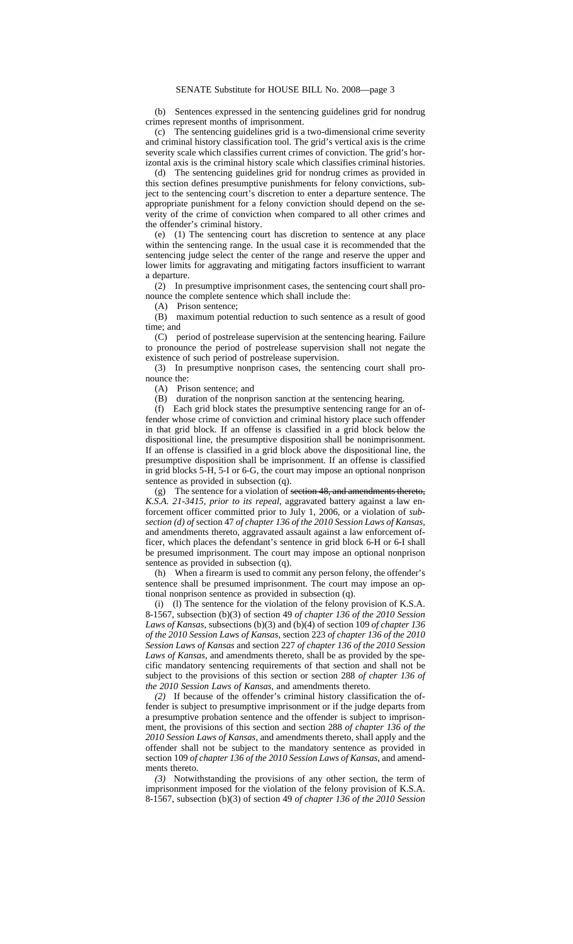(b) Sentences expressed in the sentencing guidelines grid for nondrug crimes represent months of imprisonment.

(c) The sentencing guidelines grid is a two-dimensional crime severity and criminal history classification tool. The grid's vertical axis is the crime severity scale which classifies current crimes of conviction. The grid's horizontal axis is the criminal history scale which classifies criminal histories.

(d) The sentencing guidelines grid for nondrug crimes as provided in this section defines presumptive punishments for felony convictions, subject to the sentencing court's discretion to enter a departure sentence. The appropriate punishment for a felony conviction should depend on the severity of the crime of conviction when compared to all other crimes and the offender's criminal history.

(e) (1) The sentencing court has discretion to sentence at any place within the sentencing range. In the usual case it is recommended that the sentencing judge select the center of the range and reserve the upper and lower limits for aggravating and mitigating factors insufficient to warrant a departure.

(2) In presumptive imprisonment cases, the sentencing court shall pronounce the complete sentence which shall include the:

(A) Prison sentence;

(B) maximum potential reduction to such sentence as a result of good time; and

(C) period of postrelease supervision at the sentencing hearing. Failure to pronounce the period of postrelease supervision shall not negate the existence of such period of postrelease supervision.

(3) In presumptive nonprison cases, the sentencing court shall pronounce the:

(A) Prison sentence; and

(B) duration of the nonprison sanction at the sentencing hearing.

(f) Each grid block states the presumptive sentencing range for an offender whose crime of conviction and criminal history place such offender in that grid block. If an offense is classified in a grid block below the dispositional line, the presumptive disposition shall be nonimprisonment. If an offense is classified in a grid block above the dispositional line, the presumptive disposition shall be imprisonment. If an offense is classified in grid blocks 5-H, 5-I or 6-G, the court may impose an optional nonprison sentence as provided in subsection (q).

(g) The sentence for a violation of section 48, and amendments thereto, *K.S.A. 21-3415, prior to its repeal,* aggravated battery against a law enforcement officer committed prior to July 1, 2006, or a violation of *subsection (d) of* section 47 *of chapter 136 of the 2010 Session Laws of Kansas*, and amendments thereto, aggravated assault against a law enforcement officer, which places the defendant's sentence in grid block 6-H or 6-I shall be presumed imprisonment. The court may impose an optional nonprison sentence as provided in subsection (q).

(h) When a firearm is used to commit any person felony, the offender's sentence shall be presumed imprisonment. The court may impose an optional nonprison sentence as provided in subsection (q).

(i) (l) The sentence for the violation of the felony provision of K.S.A. 8-1567, subsection (b)(3) of section 49 *of chapter 136 of the 2010 Session Laws of Kansas*, subsections (b)(3) and (b)(4) of section 109 *of chapter 136 of the 2010 Session Laws of Kansas*, section 223 *of chapter 136 of the 2010 Session Laws of Kansas* and section 227 *of chapter 136 of the 2010 Session Laws of Kansas*, and amendments thereto, shall be as provided by the specific mandatory sentencing requirements of that section and shall not be subject to the provisions of this section or section 288 *of chapter 136 of the 2010 Session Laws of Kansas*, and amendments thereto.

*(2)* If because of the offender's criminal history classification the offender is subject to presumptive imprisonment or if the judge departs from a presumptive probation sentence and the offender is subject to imprisonment, the provisions of this section and section 288 *of chapter 136 of the 2010 Session Laws of Kansas*, and amendments thereto, shall apply and the offender shall not be subject to the mandatory sentence as provided in section 109 *of chapter 136 of the 2010 Session Laws of Kansas*, and amendments thereto.

*(3)* Notwithstanding the provisions of any other section, the term of imprisonment imposed for the violation of the felony provision of K.S.A. 8-1567, subsection (b)(3) of section 49 *of chapter 136 of the 2010 Session*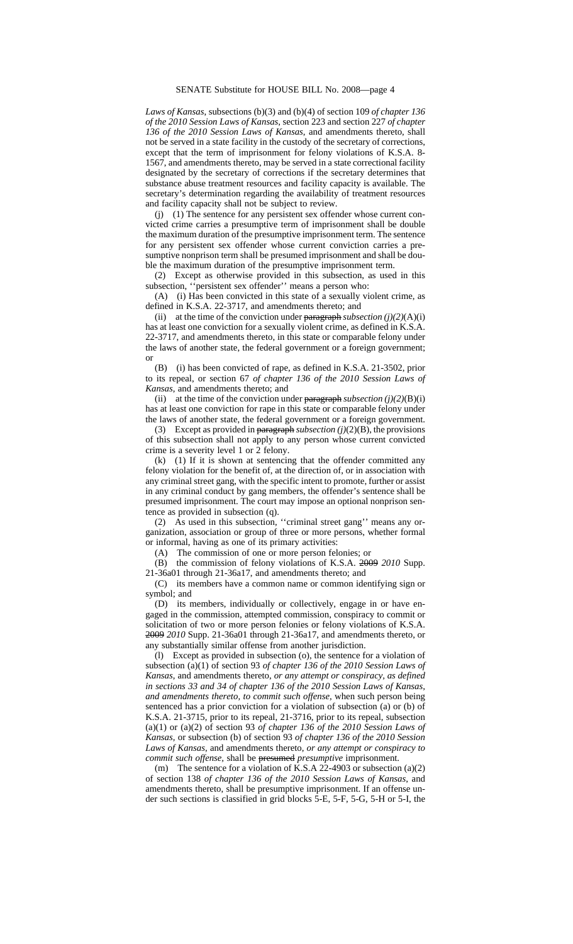*Laws of Kansas*, subsections (b)(3) and (b)(4) of section 109 *of chapter 136 of the 2010 Session Laws of Kansas*, section 223 and section 227 *of chapter 136 of the 2010 Session Laws of Kansas*, and amendments thereto, shall not be served in a state facility in the custody of the secretary of corrections, except that the term of imprisonment for felony violations of K.S.A. 8- 1567, and amendments thereto, may be served in a state correctional facility designated by the secretary of corrections if the secretary determines that substance abuse treatment resources and facility capacity is available. The secretary's determination regarding the availability of treatment resources and facility capacity shall not be subject to review.

(j) (1) The sentence for any persistent sex offender whose current convicted crime carries a presumptive term of imprisonment shall be double the maximum duration of the presumptive imprisonment term. The sentence for any persistent sex offender whose current conviction carries a presumptive nonprison term shall be presumed imprisonment and shall be double the maximum duration of the presumptive imprisonment term.

(2) Except as otherwise provided in this subsection, as used in this subsection, ''persistent sex offender'' means a person who:

(A) (i) Has been convicted in this state of a sexually violent crime, as defined in K.S.A. 22-3717, and amendments thereto; and

(ii) at the time of the conviction under  $\frac{\text{parameter}}{\text{parameter}}$  *subsection* (j)(2)(A)(i) has at least one conviction for a sexually violent crime, as defined in K.S.A. 22-3717, and amendments thereto, in this state or comparable felony under the laws of another state, the federal government or a foreign government; or

(B) (i) has been convicted of rape, as defined in K.S.A. 21-3502, prior to its repeal, or section 67 *of chapter 136 of the 2010 Session Laws of Kansas*, and amendments thereto; and

(ii) at the time of the conviction under  $\frac{\text{parameter}}{\text{parameter}}$  *subsection* (j)(2)(B)(i) has at least one conviction for rape in this state or comparable felony under the laws of another state, the federal government or a foreign government.

(3) Except as provided in  $\frac{\text{parameter of}}{\text{softmax}}$  *subsection (j)*(2)(B), the provisions of this subsection shall not apply to any person whose current convicted crime is a severity level 1 or 2 felony.

(k) (1) If it is shown at sentencing that the offender committed any felony violation for the benefit of, at the direction of, or in association with any criminal street gang, with the specific intent to promote, further or assist in any criminal conduct by gang members, the offender's sentence shall be presumed imprisonment. The court may impose an optional nonprison sentence as provided in subsection (q).

(2) As used in this subsection, ''criminal street gang'' means any organization, association or group of three or more persons, whether formal or informal, having as one of its primary activities:

(A) The commission of one or more person felonies; or

(B) the commission of felony violations of K.S.A. 2009 *2010* Supp. 21-36a01 through 21-36a17, and amendments thereto; and

(C) its members have a common name or common identifying sign or symbol; and

(D) its members, individually or collectively, engage in or have engaged in the commission, attempted commission, conspiracy to commit or solicitation of two or more person felonies or felony violations of K.S.A. 2009 *2010* Supp. 21-36a01 through 21-36a17, and amendments thereto, or any substantially similar offense from another jurisdiction.

(l) Except as provided in subsection (o), the sentence for a violation of subsection (a)(1) of section 93 *of chapter 136 of the 2010 Session Laws of Kansas*, and amendments thereto, *or any attempt or conspiracy, as defined in sections 33 and 34 of chapter 136 of the 2010 Session Laws of Kansas, and amendments thereto, to commit such offense,* when such person being sentenced has a prior conviction for a violation of subsection (a) or (b) of K.S.A. 21-3715, prior to its repeal, 21-3716, prior to its repeal, subsection (a)(1) or (a)(2) of section 93 *of chapter 136 of the 2010 Session Laws of Kansas,* or subsection (b) of section 93 *of chapter 136 of the 2010 Session Laws of Kansas*, and amendments thereto, *or any attempt or conspiracy to commit such offense*, shall be **presumed** *presumptive* imprisonment.

(m) The sentence for a violation of K.S.A 22-4903 or subsection (a)(2) of section 138 *of chapter 136 of the 2010 Session Laws of Kansas*, and amendments thereto, shall be presumptive imprisonment. If an offense under such sections is classified in grid blocks 5-E, 5-F, 5-G, 5-H or 5-I, the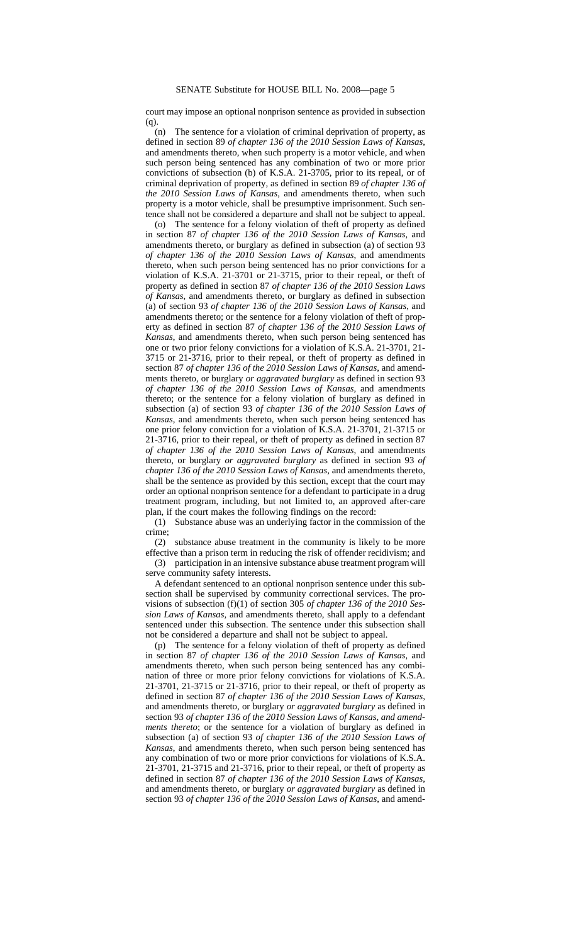court may impose an optional nonprison sentence as provided in subsection (q).

(n) The sentence for a violation of criminal deprivation of property, as defined in section 89 *of chapter 136 of the 2010 Session Laws of Kansas*, and amendments thereto, when such property is a motor vehicle, and when such person being sentenced has any combination of two or more prior convictions of subsection (b) of K.S.A. 21-3705, prior to its repeal, or of criminal deprivation of property, as defined in section 89 *of chapter 136 of the 2010 Session Laws of Kansas*, and amendments thereto, when such property is a motor vehicle, shall be presumptive imprisonment. Such sentence shall not be considered a departure and shall not be subject to appeal.

(o) The sentence for a felony violation of theft of property as defined in section 87 *of chapter 136 of the 2010 Session Laws of Kansas*, and amendments thereto, or burglary as defined in subsection (a) of section 93 *of chapter 136 of the 2010 Session Laws of Kansas*, and amendments thereto, when such person being sentenced has no prior convictions for a violation of K.S.A. 21-3701 or 21-3715, prior to their repeal, or theft of property as defined in section 87 *of chapter 136 of the 2010 Session Laws of Kansas*, and amendments thereto, or burglary as defined in subsection (a) of section 93 *of chapter 136 of the 2010 Session Laws of Kansas*, and amendments thereto; or the sentence for a felony violation of theft of property as defined in section 87 *of chapter 136 of the 2010 Session Laws of Kansas*, and amendments thereto, when such person being sentenced has one or two prior felony convictions for a violation of K.S.A. 21-3701, 21- 3715 or 21-3716, prior to their repeal, or theft of property as defined in section 87 *of chapter 136 of the 2010 Session Laws of Kansas*, and amendments thereto, or burglary *or aggravated burglary* as defined in section 93 *of chapter 136 of the 2010 Session Laws of Kansas*, and amendments thereto; or the sentence for a felony violation of burglary as defined in subsection (a) of section 93 *of chapter 136 of the 2010 Session Laws of Kansas*, and amendments thereto, when such person being sentenced has one prior felony conviction for a violation of K.S.A. 21-3701, 21-3715 or 21-3716, prior to their repeal, or theft of property as defined in section 87 *of chapter 136 of the 2010 Session Laws of Kansas*, and amendments thereto, or burglary *or aggravated burglary* as defined in section 93 *of chapter 136 of the 2010 Session Laws of Kansas*, and amendments thereto, shall be the sentence as provided by this section, except that the court may order an optional nonprison sentence for a defendant to participate in a drug treatment program, including, but not limited to, an approved after-care plan, if the court makes the following findings on the record:

(1) Substance abuse was an underlying factor in the commission of the crime;

(2) substance abuse treatment in the community is likely to be more effective than a prison term in reducing the risk of offender recidivism; and

(3) participation in an intensive substance abuse treatment program will serve community safety interests.

A defendant sentenced to an optional nonprison sentence under this subsection shall be supervised by community correctional services. The provisions of subsection (f)(1) of section 305 *of chapter 136 of the 2010 Session Laws of Kansas*, and amendments thereto, shall apply to a defendant sentenced under this subsection. The sentence under this subsection shall not be considered a departure and shall not be subject to appeal.

(p) The sentence for a felony violation of theft of property as defined in section 87 *of chapter 136 of the 2010 Session Laws of Kansas*, and amendments thereto, when such person being sentenced has any combination of three or more prior felony convictions for violations of K.S.A. 21-3701, 21-3715 or 21-3716, prior to their repeal, or theft of property as defined in section 87 *of chapter 136 of the 2010 Session Laws of Kansas*, and amendments thereto, or burglary *or aggravated burglary* as defined in section 93 *of chapter 136 of the 2010 Session Laws of Kansas, and amendments thereto*; or the sentence for a violation of burglary as defined in subsection (a) of section 93 *of chapter 136 of the 2010 Session Laws of Kansas*, and amendments thereto, when such person being sentenced has any combination of two or more prior convictions for violations of K.S.A. 21-3701, 21-3715 and 21-3716, prior to their repeal, or theft of property as defined in section 87 *of chapter 136 of the 2010 Session Laws of Kansas*, and amendments thereto, or burglary *or aggravated burglary* as defined in section 93 *of chapter 136 of the 2010 Session Laws of Kansas*, and amend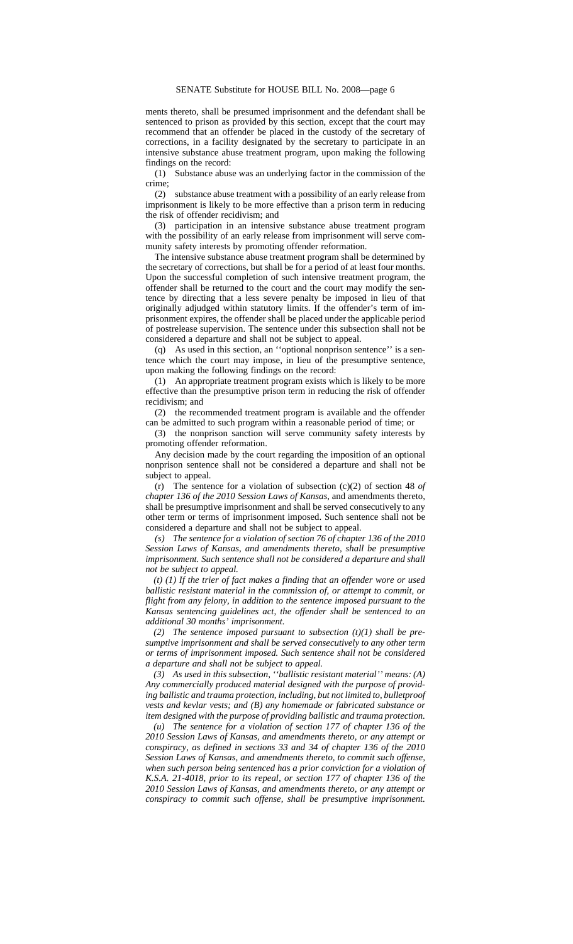ments thereto, shall be presumed imprisonment and the defendant shall be sentenced to prison as provided by this section, except that the court may recommend that an offender be placed in the custody of the secretary of corrections, in a facility designated by the secretary to participate in an intensive substance abuse treatment program, upon making the following findings on the record:

(1) Substance abuse was an underlying factor in the commission of the crime;

(2) substance abuse treatment with a possibility of an early release from imprisonment is likely to be more effective than a prison term in reducing the risk of offender recidivism; and

(3) participation in an intensive substance abuse treatment program with the possibility of an early release from imprisonment will serve community safety interests by promoting offender reformation.

The intensive substance abuse treatment program shall be determined by the secretary of corrections, but shall be for a period of at least four months. Upon the successful completion of such intensive treatment program, the offender shall be returned to the court and the court may modify the sentence by directing that a less severe penalty be imposed in lieu of that originally adjudged within statutory limits. If the offender's term of imprisonment expires, the offender shall be placed under the applicable period of postrelease supervision. The sentence under this subsection shall not be considered a departure and shall not be subject to appeal.

(q) As used in this section, an ''optional nonprison sentence'' is a sentence which the court may impose, in lieu of the presumptive sentence, upon making the following findings on the record:

(1) An appropriate treatment program exists which is likely to be more effective than the presumptive prison term in reducing the risk of offender recidivism; and

(2) the recommended treatment program is available and the offender can be admitted to such program within a reasonable period of time; or

(3) the nonprison sanction will serve community safety interests by promoting offender reformation.

Any decision made by the court regarding the imposition of an optional nonprison sentence shall not be considered a departure and shall not be subject to appeal.

(r) The sentence for a violation of subsection (c)(2) of section 48 *of chapter 136 of the 2010 Session Laws of Kansas*, and amendments thereto, shall be presumptive imprisonment and shall be served consecutively to any other term or terms of imprisonment imposed. Such sentence shall not be considered a departure and shall not be subject to appeal.

*(s) The sentence for a violation of section 76 of chapter 136 of the 2010 Session Laws of Kansas, and amendments thereto, shall be presumptive imprisonment. Such sentence shall not be considered a departure and shall not be subject to appeal.*

*(t) (1) If the trier of fact makes a finding that an offender wore or used ballistic resistant material in the commission of, or attempt to commit, or flight from any felony, in addition to the sentence imposed pursuant to the Kansas sentencing guidelines act, the offender shall be sentenced to an additional 30 months' imprisonment.*

*(2) The sentence imposed pursuant to subsection (t)(1) shall be presumptive imprisonment and shall be served consecutively to any other term or terms of imprisonment imposed. Such sentence shall not be considered a departure and shall not be subject to appeal.*

*(3) As used in this subsection, ''ballistic resistant material'' means: (A) Any commercially produced material designed with the purpose of providing ballistic and trauma protection, including, but not limited to, bulletproof vests and kevlar vests; and (B) any homemade or fabricated substance or item designed with the purpose of providing ballistic and trauma protection.*

*(u) The sentence for a violation of section 177 of chapter 136 of the 2010 Session Laws of Kansas, and amendments thereto, or any attempt or conspiracy, as defined in sections 33 and 34 of chapter 136 of the 2010 Session Laws of Kansas, and amendments thereto, to commit such offense, when such person being sentenced has a prior conviction for a violation of K.S.A. 21-4018, prior to its repeal, or section 177 of chapter 136 of the 2010 Session Laws of Kansas, and amendments thereto, or any attempt or conspiracy to commit such offense, shall be presumptive imprisonment.*